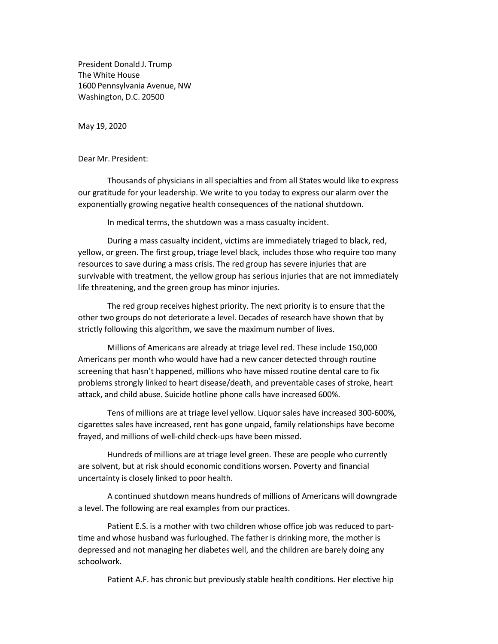President Donald J. Trump The White House 1600 Pennsylvania Avenue, NW Washington, D.C. 20500

May 19, 2020

Dear Mr. President:

Thousands of physicians in all specialties and from all States would like to express our gratitude for your leadership. We write to you today to express our alarm over the exponentially growing negative health consequences of the national shutdown.

In medical terms, the shutdown was a mass casualty incident.

During a mass casualty incident, victims are immediately triaged to black, red, yellow, or green. The first group, triage level black, includes those who require too many resources to save during a mass crisis. The red group has severe injuries that are survivable with treatment, the yellow group has serious injuries that are not immediately life threatening, and the green group has minor injuries.

The red group receives highest priority. The next priority is to ensure that the other two groups do not deteriorate a level. Decades of research have shown that by strictly following this algorithm, we save the maximum number of lives.

Millions of Americans are already at triage level red. These include 150,000 Americans per month who would have had a new cancer detected through routine screening that hasn't happened, millions who have missed routine dental care to fix problems strongly linked to heart disease/death, and preventable cases of stroke, heart attack, and child abuse. Suicide hotline phone calls have increased 600%.

Tens of millions are at triage level yellow. Liquor sales have increased 300-600%, cigarettes sales have increased, rent has gone unpaid, family relationships have become frayed, and millions of well-child check-ups have been missed.

Hundreds of millions are at triage level green. These are people who currently are solvent, but at risk should economic conditions worsen. Poverty and financial uncertainty is closely linked to poor health.

A continued shutdown means hundreds of millions of Americans will downgrade a level. The following are real examples from our practices.

Patient E.S. is a mother with two children whose office job was reduced to parttime and whose husband was furloughed. The father is drinking more, the mother is depressed and not managing her diabetes well, and the children are barely doing any schoolwork.

Patient A.F. has chronic but previously stable health conditions. Her elective hip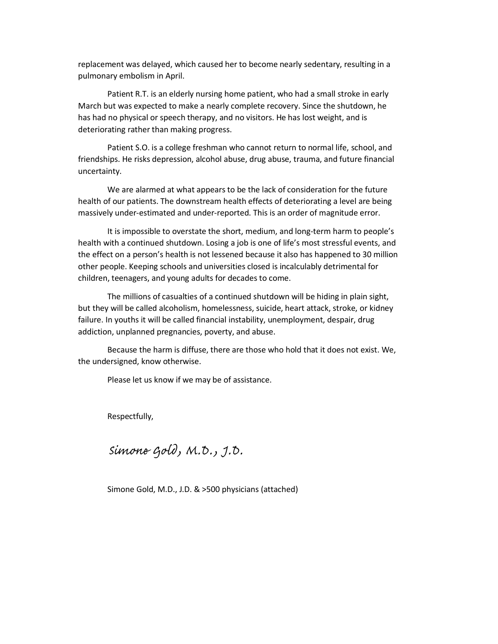replacement was delayed, which caused her to become nearly sedentary, resulting in a pulmonary embolism in April.

Patient R.T. is an elderly nursing home patient, who had a small stroke in early March but was expected to make a nearly complete recovery. Since the shutdown, he has had no physical or speech therapy, and no visitors. He has lost weight, and is deteriorating rather than making progress.

Patient S.O. is a college freshman who cannot return to normal life, school, and friendships. He risks depression, alcohol abuse, drug abuse, trauma, and future financial uncertainty.

We are alarmed at what appears to be the lack of consideration for the future health of our patients. The downstream health effects of deteriorating a level are being massively under-estimated and under-reported. This is an order of magnitude error.

It is impossible to overstate the short, medium, and long-term harm to people's health with a continued shutdown. Losing a job is one of life's most stressful events, and the effect on a person's health is not lessened because it also has happened to 30 million other people. Keeping schools and universities closed is incalculably detrimental for children, teenagers, and young adults for decades to come.

The millions of casualties of a continued shutdown will be hiding in plain sight, but they will be called alcoholism, homelessness, suicide, heart attack, stroke, or kidney failure. In youths it will be called financial instability, unemployment, despair, drug addiction, unplanned pregnancies, poverty, and abuse.

Because the harm is diffuse, there are those who hold that it does not exist. We, the undersigned, know otherwise.

Please let us know if we may be of assistance.

Respectfully,

Simone Gold, M.D., J.D.

Simone Gold, M.D., J.D. & >500 physicians (attached)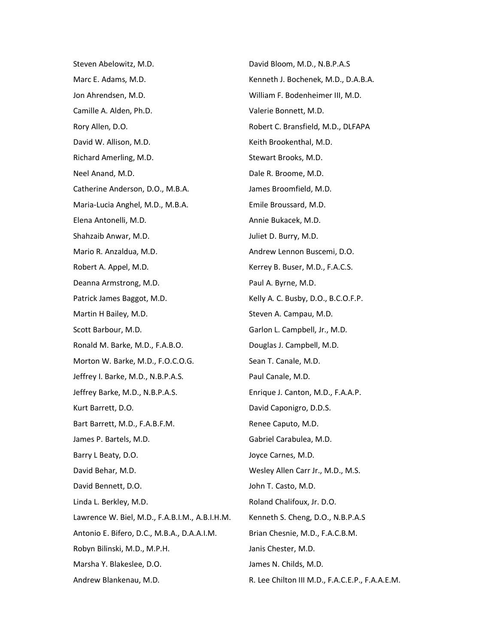Steven Abelowitz, M.D. Marc E. Adams, M.D. Jon Ahrendsen, M.D. Camille A. Alden, Ph.D. Rory Allen, D.O. David W. Allison, M.D. Richard Amerling, M.D. Neel Anand, M.D. Catherine Anderson, D.O., M.B.A. Maria-Lucia Anghel, M.D., M.B.A. Elena Antonelli, M.D. Shahzaib Anwar, M.D. Mario R. Anzaldua, M.D. Robert A. Appel, M.D. Deanna Armstrong, M.D. Patrick James Baggot, M.D. Martin H Bailey, M.D. Scott Barbour, M.D. Ronald M. Barke, M.D., F.A.B.O. Morton W. Barke, M.D., F.O.C.O.G. Jeffrey I. Barke, M.D., N.B.P.A.S. Jeffrey Barke, M.D., N.B.P.A.S. Kurt Barrett, D.O. Bart Barrett, M.D., F.A.B.F.M. James P. Bartels, M.D. Barry L Beaty, D.O. David Behar, M.D. David Bennett, D.O. Linda L. Berkley, M.D. Lawrence W. Biel, M.D., F.A.B.I.M., A.B.I.H.M. Antonio E. Bifero, D.C., M.B.A., D.A.A.I.M. Robyn Bilinski, M.D., M.P.H. Marsha Y. Blakeslee, D.O. Andrew Blankenau, M.D.

David Bloom, M.D., N.B.P.A.S Kenneth J. Bochenek, M.D., D.A.B.A. William F. Bodenheimer III, M.D. Valerie Bonnett, M.D. Robert C. Bransfield, M.D., DLFAPA Keith Brookenthal, M.D. Stewart Brooks, M.D. Dale R. Broome, M.D. James Broomfield, M.D. Emile Broussard, M.D. Annie Bukacek, M.D. Juliet D. Burry, M.D. Andrew Lennon Buscemi, D.O. Kerrey B. Buser, M.D., F.A.C.S. Paul A. Byrne, M.D. Kelly A. C. Busby, D.O., B.C.O.F.P. Steven A. Campau, M.D. Garlon L. Campbell, Jr., M.D. Douglas J. Campbell, M.D. Sean T. Canale, M.D. Paul Canale, M.D. Enrique J. Canton, M.D., F.A.A.P. David Caponigro, D.D.S. Renee Caputo, M.D. Gabriel Carabulea, M.D. Joyce Carnes, M.D. Wesley Allen Carr Jr., M.D., M.S. John T. Casto, M.D. Roland Chalifoux, Jr. D.O. Kenneth S. Cheng, D.O., N.B.P.A.S Brian Chesnie, M.D., F.A.C.B.M. Janis Chester, M.D. James N. Childs, M.D.

## R. Lee Chilton III M.D., F.A.C.E.P., F.A.A.E.M.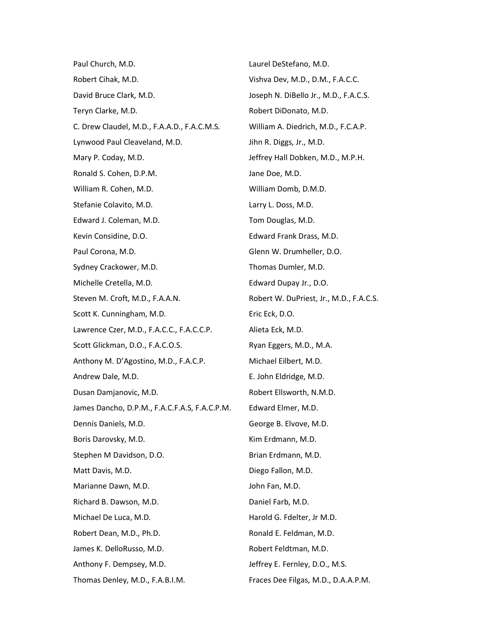Paul Church, M.D. Robert Cihak, M.D. David Bruce Clark, M.D. Teryn Clarke, M.D. C. Drew Claudel, M.D., F.A.A.D., F.A.C.M.S. Lynwood Paul Cleaveland, M.D. Mary P. Coday, M.D. Ronald S. Cohen, D.P.M. William R. Cohen, M.D. Stefanie Colavito, M.D. Edward J. Coleman, M.D. Kevin Considine, D.O. Paul Corona, M.D. Sydney Crackower, M.D. Michelle Cretella, M.D. Steven M. Croft, M.D., F.A.A.N. Scott K. Cunningham, M.D. Lawrence Czer, M.D., F.A.C.C., F.A.C.C.P. Scott Glickman, D.O., F.A.C.O.S. Anthony M. D'Agostino, M.D., F.A.C.P. Andrew Dale, M.D. Dusan Damjanovic, M.D. James Dancho, D.P.M., F.A.C.F.A.S, F.A.C.P.M. Dennis Daniels, M.D. Boris Darovsky, M.D. Stephen M Davidson, D.O. Matt Davis, M.D. Marianne Dawn, M.D. Richard B. Dawson, M.D. Michael De Luca, M.D. Robert Dean, M.D., Ph.D. James K. DelloRusso, M.D. Anthony F. Dempsey, M.D. Thomas Denley, M.D., F.A.B.I.M.

Laurel DeStefano, M.D. Vishva Dev, M.D., D.M., F.A.C.C. Joseph N. DiBello Jr., M.D., F.A.C.S. Robert DiDonato, M.D. William A. Diedrich, M.D., F.C.A.P. Jihn R. Diggs, Jr., M.D. Jeffrey Hall Dobken, M.D., M.P.H. Jane Doe, M.D. William Domb, D.M.D. Larry L. Doss, M.D. Tom Douglas, M.D. Edward Frank Drass, M.D. Glenn W. Drumheller, D.O. Thomas Dumler, M.D. Edward Dupay Jr., D.O. Robert W. DuPriest, Jr., M.D., F.A.C.S. Eric Eck, D.O. Alieta Eck, M.D. Ryan Eggers, M.D., M.A. Michael Eilbert, M.D. E. John Eldridge, M.D. Robert Ellsworth, N.M.D. Edward Elmer, M.D. George B. Elvove, M.D. Kim Erdmann, M.D. Brian Erdmann, M.D. Diego Fallon, M.D. John Fan, M.D. Daniel Farb, M.D. Harold G. Fdelter, Jr M.D. Ronald E. Feldman, M.D. Robert Feldtman, M.D. Jeffrey E. Fernley, D.O., M.S.

## Fraces Dee Filgas, M.D., D.A.A.P.M.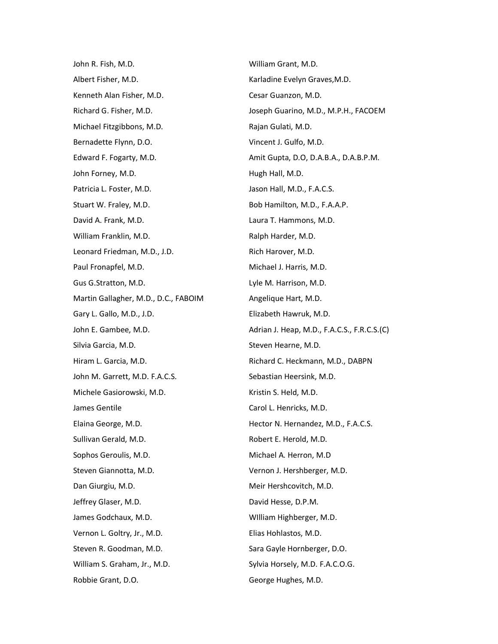John R. Fish, M.D. Albert Fisher, M.D. Kenneth Alan Fisher, M.D. Richard G. Fisher, M.D. Michael Fitzgibbons, M.D. Bernadette Flynn, D.O. Edward F. Fogarty, M.D. John Forney, M.D. Patricia L. Foster, M.D. Stuart W. Fraley, M.D. David A. Frank, M.D. William Franklin, M.D. Leonard Friedman, M.D., J.D. Paul Fronapfel, M.D. Gus G.Stratton, M.D. Martin Gallagher, M.D., D.C., FABOIM Gary L. Gallo, M.D., J.D. John E. Gambee, M.D. Silvia Garcia, M.D. Hiram L. Garcia, M.D. John M. Garrett, M.D. F.A.C.S. Michele Gasiorowski, M.D. James Gentile Elaina George, M.D. Sullivan Gerald, M.D. Sophos Geroulis, M.D. Steven Giannotta, M.D. Dan Giurgiu, M.D. Jeffrey Glaser, M.D. James Godchaux, M.D. Vernon L. Goltry, Jr., M.D. Steven R. Goodman, M.D. William S. Graham, Jr., M.D. Robbie Grant, D.O.

William Grant, M.D. Karladine Evelyn Graves,M.D. Cesar Guanzon, M.D. Joseph Guarino, M.D., M.P.H., FACOEM Rajan Gulati, M.D. Vincent J. Gulfo, M.D. Amit Gupta, D.O, D.A.B.A., D.A.B.P.M. Hugh Hall, M.D. Jason Hall, M.D., F.A.C.S. Bob Hamilton, M.D., F.A.A.P. Laura T. Hammons, M.D. Ralph Harder, M.D. Rich Harover, M.D. Michael J. Harris, M.D. Lyle M. Harrison, M.D. Angelique Hart, M.D. Elizabeth Hawruk, M.D. Adrian J. Heap, M.D., F.A.C.S., F.R.C.S.(C) Steven Hearne, M.D. Richard C. Heckmann, M.D., DABPN Sebastian Heersink, M.D. Kristin S. Held, M.D. Carol L. Henricks, M.D. Hector N. Hernandez, M.D., F.A.C.S. Robert E. Herold, M.D. Michael A. Herron, M.D Vernon J. Hershberger, M.D. Meir Hershcovitch, M.D. David Hesse, D.P.M. WIlliam Highberger, M.D. Elias Hohlastos, M.D. Sara Gayle Hornberger, D.O. Sylvia Horsely, M.D. F.A.C.O.G. George Hughes, M.D.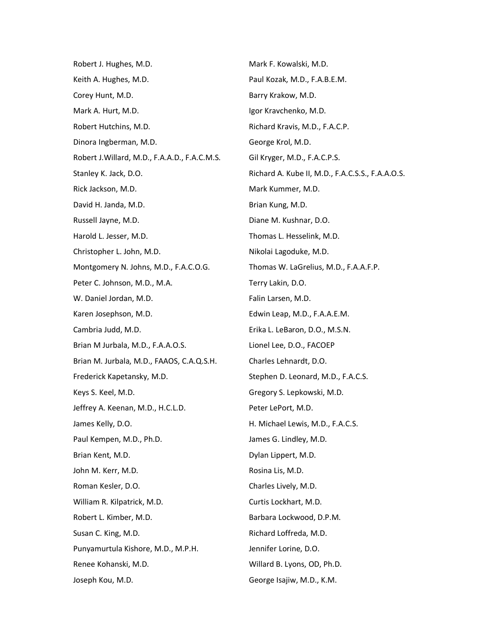| Robert J. Hughes, M.D.                        | Mark F. Kowalski, M.D.                           |
|-----------------------------------------------|--------------------------------------------------|
| Keith A. Hughes, M.D.                         | Paul Kozak, M.D., F.A.B.E.M.                     |
| Corey Hunt, M.D.                              | Barry Krakow, M.D.                               |
| Mark A. Hurt, M.D.                            | Igor Kravchenko, M.D.                            |
| Robert Hutchins, M.D.                         | Richard Kravis, M.D., F.A.C.P.                   |
| Dinora Ingberman, M.D.                        | George Krol, M.D.                                |
| Robert J. Willard, M.D., F.A.A.D., F.A.C.M.S. | Gil Kryger, M.D., F.A.C.P.S.                     |
| Stanley K. Jack, D.O.                         | Richard A. Kube II, M.D., F.A.C.S.S., F.A.A.O.S. |
| Rick Jackson, M.D.                            | Mark Kummer, M.D.                                |
| David H. Janda, M.D.                          | Brian Kung, M.D.                                 |
| Russell Jayne, M.D.                           | Diane M. Kushnar, D.O.                           |
| Harold L. Jesser, M.D.                        | Thomas L. Hesselink, M.D.                        |
| Christopher L. John, M.D.                     | Nikolai Lagoduke, M.D.                           |
| Montgomery N. Johns, M.D., F.A.C.O.G.         | Thomas W. LaGrelius, M.D., F.A.A.F.P.            |
| Peter C. Johnson, M.D., M.A.                  | Terry Lakin, D.O.                                |
| W. Daniel Jordan, M.D.                        | Falin Larsen, M.D.                               |
| Karen Josephson, M.D.                         | Edwin Leap, M.D., F.A.A.E.M.                     |
| Cambria Judd, M.D.                            | Erika L. LeBaron, D.O., M.S.N.                   |
| Brian M Jurbala, M.D., F.A.A.O.S.             | Lionel Lee, D.O., FACOEP                         |
| Brian M. Jurbala, M.D., FAAOS, C.A.Q.S.H.     | Charles Lehnardt, D.O.                           |
| Frederick Kapetansky, M.D.                    | Stephen D. Leonard, M.D., F.A.C.S.               |
| Keys S. Keel, M.D.                            | Gregory S. Lepkowski, M.D.                       |
| Jeffrey A. Keenan, M.D., H.C.L.D.             | Peter LePort, M.D.                               |
| James Kelly, D.O.                             | H. Michael Lewis, M.D., F.A.C.S.                 |
| Paul Kempen, M.D., Ph.D.                      | James G. Lindley, M.D.                           |
| Brian Kent, M.D.                              | Dylan Lippert, M.D.                              |
| John M. Kerr, M.D.                            | Rosina Lis, M.D.                                 |
| Roman Kesler, D.O.                            | Charles Lively, M.D.                             |
| William R. Kilpatrick, M.D.                   | Curtis Lockhart, M.D.                            |
| Robert L. Kimber, M.D.                        | Barbara Lockwood, D.P.M.                         |
| Susan C. King, M.D.                           | Richard Loffreda, M.D.                           |
| Punyamurtula Kishore, M.D., M.P.H.            | Jennifer Lorine, D.O.                            |
| Renee Kohanski, M.D.                          | Willard B. Lyons, OD, Ph.D.                      |
| Joseph Kou, M.D.                              | George Isajiw, M.D., K.M.                        |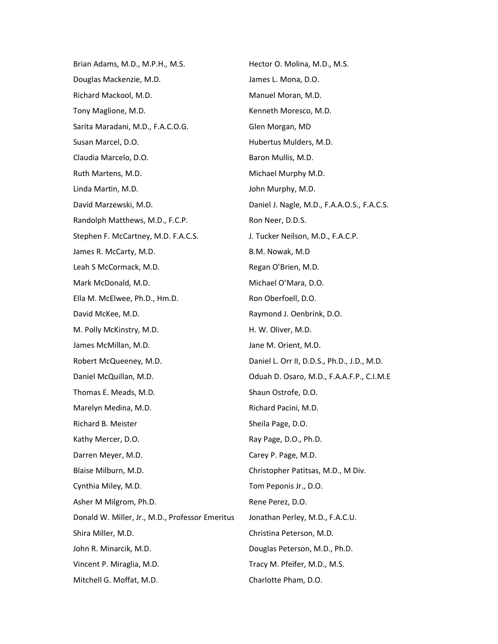Brian Adams, M.D., M.P.H., M.S. Douglas Mackenzie, M.D. Richard Mackool, M.D. Tony Maglione, M.D. Sarita Maradani, M.D., F.A.C.O.G. Susan Marcel, D.O. Claudia Marcelo, D.O. Ruth Martens, M.D. Linda Martin, M.D. David Marzewski, M.D. Randolph Matthews, M.D., F.C.P. Stephen F. McCartney, M.D. F.A.C.S. James R. McCarty, M.D. Leah S McCormack, M.D. Mark McDonald, M.D. Ella M. McElwee, Ph.D., Hm.D. David McKee, M.D. M. Polly McKinstry, M.D. James McMillan, M.D. Robert McQueeney, M.D. Daniel McQuillan, M.D. Thomas E. Meads, M.D. Marelyn Medina, M.D. Richard B. Meister Kathy Mercer, D.O. Darren Meyer, M.D. Blaise Milburn, M.D. Cynthia Miley, M.D. Asher M Milgrom, Ph.D. Donald W. Miller, Jr., M.D., Professor Emeritus Shira Miller, M.D. John R. Minarcik, M.D. Vincent P. Miraglia, M.D. Mitchell G. Moffat, M.D.

Hector O. Molina, M.D., M.S. James L. Mona, D.O. Manuel Moran, M.D. Kenneth Moresco, M.D. Glen Morgan, MD Hubertus Mulders, M.D. Baron Mullis, M.D. Michael Murphy M.D. John Murphy, M.D. Daniel J. Nagle, M.D., F.A.A.O.S., F.A.C.S. Ron Neer, D.D.S. J. Tucker Neilson, M.D., F.A.C.P. B.M. Nowak, M.D Regan O'Brien, M.D. Michael O'Mara, D.O. Ron Oberfoell, D.O. Raymond J. Oenbrink, D.O. H. W. Oliver, M.D. Jane M. Orient, M.D. Daniel L. Orr II, D.D.S., Ph.D., J.D., M.D. Oduah D. Osaro, M.D., F.A.A.F.P., C.I.M.E Shaun Ostrofe, D.O. Richard Pacini, M.D. Sheila Page, D.O. Ray Page, D.O., Ph.D. Carey P. Page, M.D. Christopher Patitsas, M.D., M Div. Tom Peponis Jr., D.O. Rene Perez, D.O. Jonathan Perley, M.D., F.A.C.U. Christina Peterson, M.D. Douglas Peterson, M.D., Ph.D. Tracy M. Pfeifer, M.D., M.S. Charlotte Pham, D.O.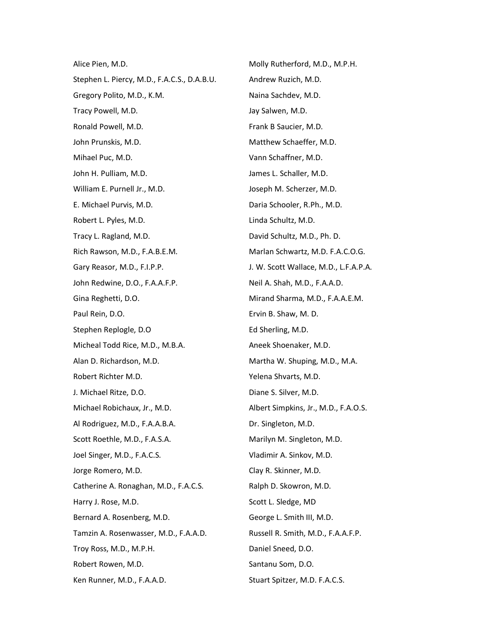Alice Pien, M.D. Stephen L. Piercy, M.D., F.A.C.S., D.A.B.U. Gregory Polito, M.D., K.M. Tracy Powell, M.D. Ronald Powell, M.D. John Prunskis, M.D. Mihael Puc, M.D. John H. Pulliam, M.D. William E. Purnell Jr., M.D. E. Michael Purvis, M.D. Robert L. Pyles, M.D. Tracy L. Ragland, M.D. Rich Rawson, M.D., F.A.B.E.M. Gary Reasor, M.D., F.I.P.P. John Redwine, D.O., F.A.A.F.P. Gina Reghetti, D.O. Paul Rein, D.O. Stephen Replogle, D.O Micheal Todd Rice, M.D., M.B.A. Alan D. Richardson, M.D. Robert Richter M.D. J. Michael Ritze, D.O. Michael Robichaux, Jr., M.D. Al Rodriguez, M.D., F.A.A.B.A. Scott Roethle, M.D., F.A.S.A. Joel Singer, M.D., F.A.C.S. Jorge Romero, M.D. Catherine A. Ronaghan, M.D., F.A.C.S. Harry J. Rose, M.D. Bernard A. Rosenberg, M.D. Tamzin A. Rosenwasser, M.D., F.A.A.D. Troy Ross, M.D., M.P.H. Robert Rowen, M.D. Ken Runner, M.D., F.A.A.D.

Molly Rutherford, M.D., M.P.H. Andrew Ruzich, M.D. Naina Sachdev, M.D. Jay Salwen, M.D. Frank B Saucier, M.D. Matthew Schaeffer, M.D. Vann Schaffner, M.D. James L. Schaller, M.D. Joseph M. Scherzer, M.D. Daria Schooler, R.Ph., M.D. Linda Schultz, M.D. David Schultz, M.D., Ph. D. Marlan Schwartz, M.D. F.A.C.O.G. J. W. Scott Wallace, M.D., L.F.A.P.A. Neil A. Shah, M.D., F.A.A.D. Mirand Sharma, M.D., F.A.A.E.M. Ervin B. Shaw, M. D. Ed Sherling, M.D. Aneek Shoenaker, M.D. Martha W. Shuping, M.D., M.A. Yelena Shvarts, M.D. Diane S. Silver, M.D. Albert Simpkins, Jr., M.D., F.A.O.S. Dr. Singleton, M.D. Marilyn M. Singleton, M.D. Vladimir A. Sinkov, M.D. Clay R. Skinner, M.D. Ralph D. Skowron, M.D. Scott L. Sledge, MD George L. Smith III, M.D. Russell R. Smith, M.D., F.A.A.F.P. Daniel Sneed, D.O. Santanu Som, D.O. Stuart Spitzer, M.D. F.A.C.S.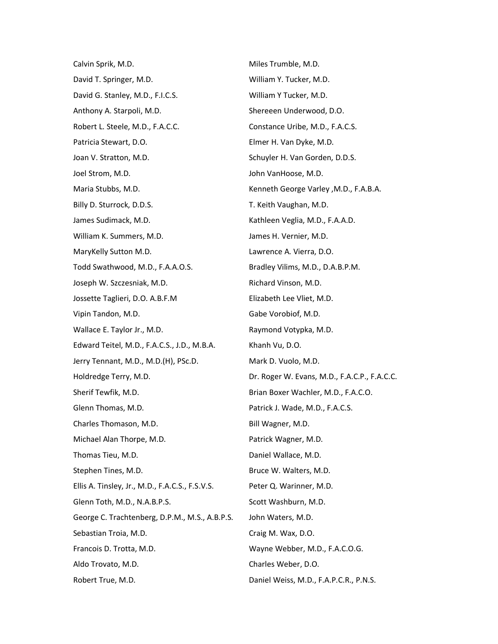Calvin Sprik, M.D. David T. Springer, M.D. David G. Stanley, M.D., F.I.C.S. Anthony A. Starpoli, M.D. Robert L. Steele, M.D., F.A.C.C. Patricia Stewart, D.O. Joan V. Stratton, M.D. Joel Strom, M.D. Maria Stubbs, M.D. Billy D. Sturrock, D.D.S. James Sudimack, M.D. William K. Summers, M.D. MaryKelly Sutton M.D. Todd Swathwood, M.D., F.A.A.O.S. Joseph W. Szczesniak, M.D. Jossette Taglieri, D.O. A.B.F.M Vipin Tandon, M.D. Wallace E. Taylor Jr., M.D. Edward Teitel, M.D., F.A.C.S., J.D., M.B.A. Jerry Tennant, M.D., M.D.(H), PSc.D. Holdredge Terry, M.D. Sherif Tewfik, M.D. Glenn Thomas, M.D. Charles Thomason, M.D. Michael Alan Thorpe, M.D. Thomas Tieu, M.D. Stephen Tines, M.D. Ellis A. Tinsley, Jr., M.D., F.A.C.S., F.S.V.S. Glenn Toth, M.D., N.A.B.P.S. George C. Trachtenberg, D.P.M., M.S., A.B.P.S. Sebastian Troia, M.D. Francois D. Trotta, M.D. Aldo Trovato, M.D. Robert True, M.D.

Miles Trumble, M.D. William Y. Tucker, M.D. William Y Tucker, M.D. Shereeen Underwood, D.O. Constance Uribe, M.D., F.A.C.S. Elmer H. Van Dyke, M.D. Schuyler H. Van Gorden, D.D.S. John VanHoose, M.D. Kenneth George Varley ,M.D., F.A.B.A. T. Keith Vaughan, M.D. Kathleen Veglia, M.D., F.A.A.D. James H. Vernier, M.D. Lawrence A. Vierra, D.O. Bradley Vilims, M.D., D.A.B.P.M. Richard Vinson, M.D. Elizabeth Lee Vliet, M.D. Gabe Vorobiof, M.D. Raymond Votypka, M.D. Khanh Vu, D.O. Mark D. Vuolo, M.D. Dr. Roger W. Evans, M.D., F.A.C.P., F.A.C.C. Brian Boxer Wachler, M.D., F.A.C.O. Patrick J. Wade, M.D., F.A.C.S. Bill Wagner, M.D. Patrick Wagner, M.D. Daniel Wallace, M.D. Bruce W. Walters, M.D. Peter Q. Warinner, M.D. Scott Washburn, M.D. John Waters, M.D. Craig M. Wax, D.O. Wayne Webber, M.D., F.A.C.O.G. Charles Weber, D.O. Daniel Weiss, M.D., F.A.P.C.R., P.N.S.